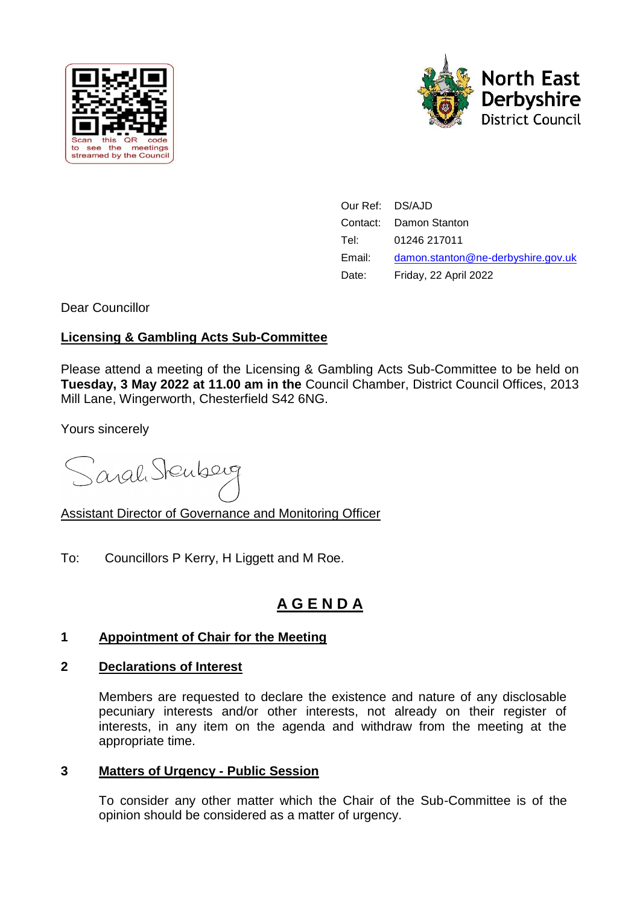



| Our Ref: DS/AJD |                                    |
|-----------------|------------------------------------|
|                 | Contact: Damon Stanton             |
| Tel:            | 01246 217011                       |
| Email:          | damon.stanton@ne-derbyshire.gov.uk |
| Date:           | Friday, 22 April 2022              |

Dear Councillor

## **Licensing & Gambling Acts Sub-Committee**

Please attend a meeting of the Licensing & Gambling Acts Sub-Committee to be held on **Tuesday, 3 May 2022 at 11.00 am in the** Council Chamber, District Council Offices, 2013 Mill Lane, Wingerworth, Chesterfield S42 6NG.

Yours sincerely

Sarah Stenberg

Assistant Director of Governance and Monitoring Officer

To: Councillors P Kerry, H Liggett and M Roe.

# **A G E N D A**

## **1 Appointment of Chair for the Meeting**

## **2 Declarations of Interest**

Members are requested to declare the existence and nature of any disclosable pecuniary interests and/or other interests, not already on their register of interests, in any item on the agenda and withdraw from the meeting at the appropriate time.

## **3 Matters of Urgency - Public Session**

To consider any other matter which the Chair of the Sub-Committee is of the opinion should be considered as a matter of urgency.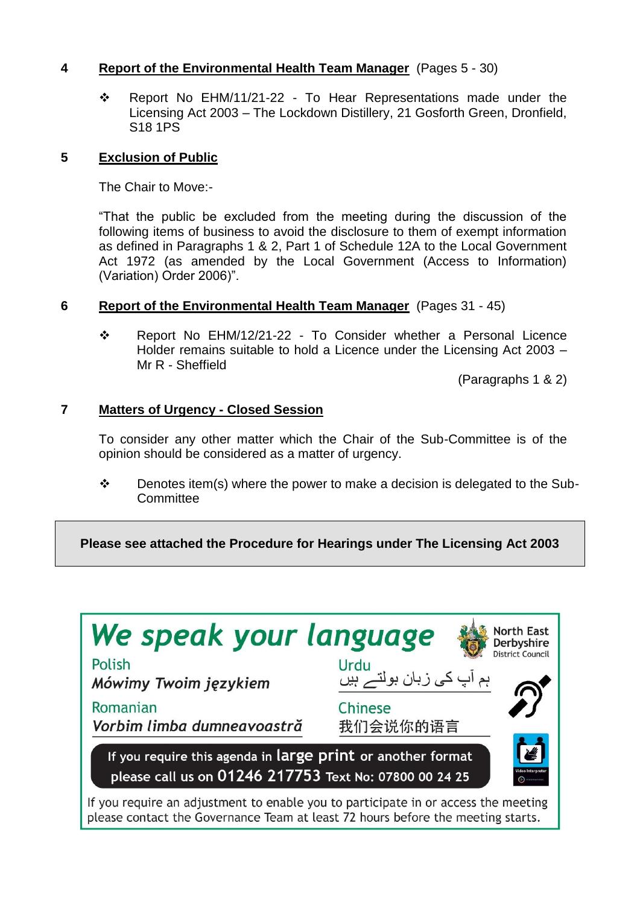## **4 Report of the Environmental Health Team Manager** (Pages 5 - 30)

 Report No EHM/11/21-22 - To Hear Representations made under the Licensing Act 2003 – The Lockdown Distillery, 21 Gosforth Green, Dronfield, S18 1PS

#### **5 Exclusion of Public**

The Chair to Move:-

"That the public be excluded from the meeting during the discussion of the following items of business to avoid the disclosure to them of exempt information as defined in Paragraphs 1 & 2, Part 1 of Schedule 12A to the Local Government Act 1972 (as amended by the Local Government (Access to Information) (Variation) Order 2006)".

#### **6 Report of the Environmental Health Team Manager** (Pages 31 - 45)

 Report No EHM/12/21-22 - To Consider whether a Personal Licence Holder remains suitable to hold a Licence under the Licensing Act 2003 – Mr R - Sheffield

(Paragraphs 1 & 2)

## **7 Matters of Urgency - Closed Session**

To consider any other matter which the Chair of the Sub-Committee is of the opinion should be considered as a matter of urgency.

 $\div$  Denotes item(s) where the power to make a decision is delegated to the Sub-**Committee** 

**Please see attached the Procedure for Hearings under The Licensing Act 2003**

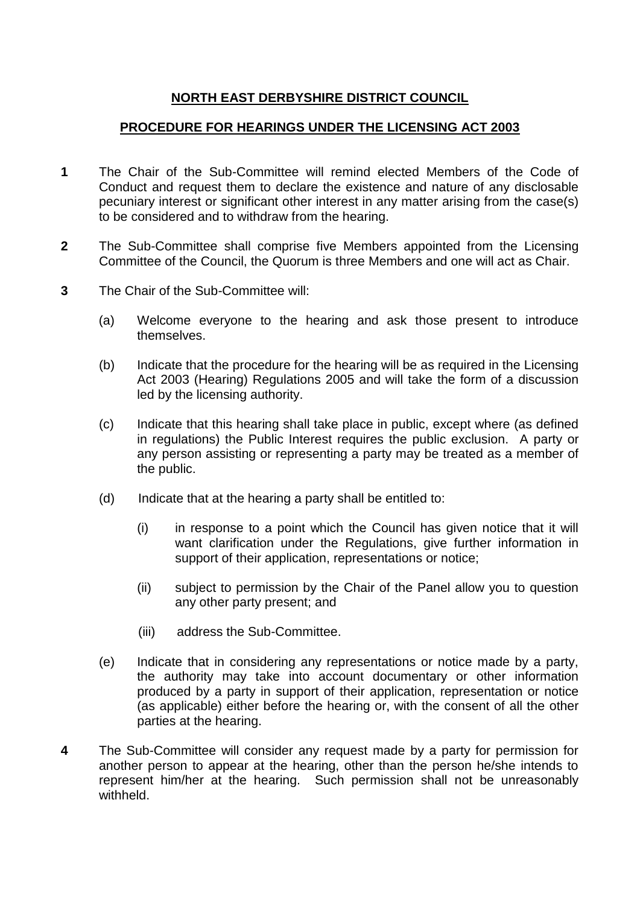# **NORTH EAST DERBYSHIRE DISTRICT COUNCIL**

## **PROCEDURE FOR HEARINGS UNDER THE LICENSING ACT 2003**

- **1** The Chair of the Sub-Committee will remind elected Members of the Code of Conduct and request them to declare the existence and nature of any disclosable pecuniary interest or significant other interest in any matter arising from the case(s) to be considered and to withdraw from the hearing.
- **2** The Sub-Committee shall comprise five Members appointed from the Licensing Committee of the Council, the Quorum is three Members and one will act as Chair.
- **3** The Chair of the Sub-Committee will:
	- (a) Welcome everyone to the hearing and ask those present to introduce themselves.
	- (b) Indicate that the procedure for the hearing will be as required in the Licensing Act 2003 (Hearing) Regulations 2005 and will take the form of a discussion led by the licensing authority.
	- (c) Indicate that this hearing shall take place in public, except where (as defined in regulations) the Public Interest requires the public exclusion. A party or any person assisting or representing a party may be treated as a member of the public.
	- (d) Indicate that at the hearing a party shall be entitled to:
		- (i) in response to a point which the Council has given notice that it will want clarification under the Regulations, give further information in support of their application, representations or notice;
		- (ii) subject to permission by the Chair of the Panel allow you to question any other party present; and
		- (iii) address the Sub-Committee.
	- (e) Indicate that in considering any representations or notice made by a party, the authority may take into account documentary or other information produced by a party in support of their application, representation or notice (as applicable) either before the hearing or, with the consent of all the other parties at the hearing.
- **4** The Sub-Committee will consider any request made by a party for permission for another person to appear at the hearing, other than the person he/she intends to represent him/her at the hearing. Such permission shall not be unreasonably withheld.